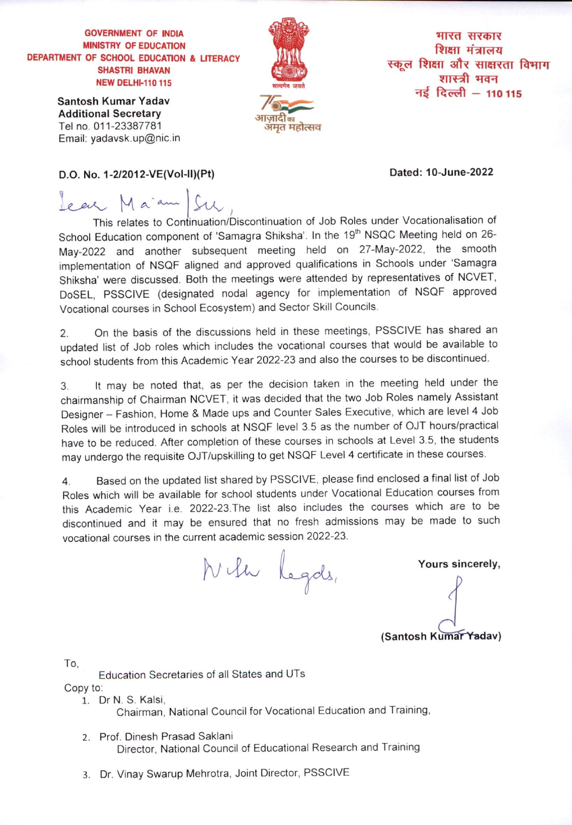## **GOVERNMENT OF INDIA MINISTRY OF EDUCATION** DEPARTMENT OF SCHOOL EDUCATION & LITERACY **SHASTRI BHAVAN NEW DELHI-110 115**

Santosh Kumar Yadav **Additional Secretary** Tel no. 011-23387781 Email: yadavsk.up@nic.in



भारत सरकार शिक्षा मंत्रालय स्कूल शिक्षा और साक्षरता विभाग शास्त्री भवन नई दिल्ली – 110 115

## D.O. No. 1-2/2012-VE(Vol-II)(Pt)

Dated: 10-June-2022

Jean Maiam Su

This relates to Continuation/Discontinuation of Job Roles under Vocationalisation of School Education component of 'Samagra Shiksha'. In the 19<sup>th</sup> NSQC Meeting held on 26-May-2022 and another subsequent meeting held on 27-May-2022, the smooth implementation of NSQF aligned and approved qualifications in Schools under 'Samagra Shiksha' were discussed. Both the meetings were attended by representatives of NCVET, DoSEL, PSSCIVE (designated nodal agency for implementation of NSQF approved Vocational courses in School Ecosystem) and Sector Skill Councils.

On the basis of the discussions held in these meetings, PSSCIVE has shared an  $2.$ updated list of Job roles which includes the vocational courses that would be available to school students from this Academic Year 2022-23 and also the courses to be discontinued.

It may be noted that, as per the decision taken in the meeting held under the  $3.$ chairmanship of Chairman NCVET, it was decided that the two Job Roles namely Assistant Designer - Fashion, Home & Made ups and Counter Sales Executive, which are level 4 Job Roles will be introduced in schools at NSQF level 3.5 as the number of OJT hours/practical have to be reduced. After completion of these courses in schools at Level 3.5, the students may undergo the requisite OJT/upskilling to get NSQF Level 4 certificate in these courses.

Based on the updated list shared by PSSCIVE, please find enclosed a final list of Job  $4.$ Roles which will be available for school students under Vocational Education courses from this Academic Year i.e. 2022-23. The list also includes the courses which are to be discontinued and it may be ensured that no fresh admissions may be made to such vocational courses in the current academic session 2022-23.

Nila Legas,

Yours sincerely,

(Santosh Kumar Yadav)

To.

Education Secretaries of all States and UTs Copy to:

1. Dr N. S. Kalsi,

Chairman, National Council for Vocational Education and Training,

- 2. Prof. Dinesh Prasad Saklani Director, National Council of Educational Research and Training
- 3. Dr. Vinay Swarup Mehrotra, Joint Director, PSSCIVE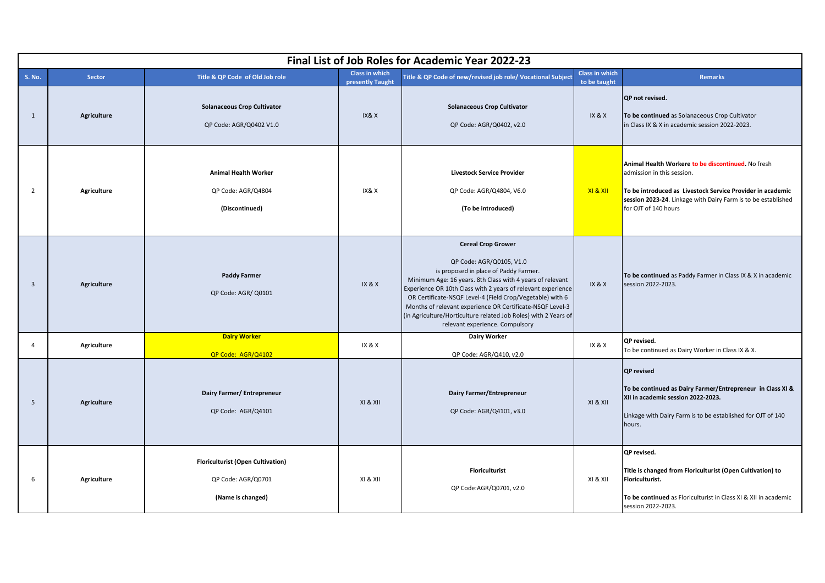|                         | Final List of Job Roles for Academic Year 2022-23 |                                                                                     |                                           |                                                                                                                                                                                                                                                                                                                                                                                                                                                             |                                       |                                                                                                                                                                                                                                         |  |  |
|-------------------------|---------------------------------------------------|-------------------------------------------------------------------------------------|-------------------------------------------|-------------------------------------------------------------------------------------------------------------------------------------------------------------------------------------------------------------------------------------------------------------------------------------------------------------------------------------------------------------------------------------------------------------------------------------------------------------|---------------------------------------|-----------------------------------------------------------------------------------------------------------------------------------------------------------------------------------------------------------------------------------------|--|--|
| S. No.                  | Sector                                            | Title & QP Code of Old Job role                                                     | <b>Class in which</b><br>presently Taught | Title & QP Code of new/revised job role/ Vocational Subject                                                                                                                                                                                                                                                                                                                                                                                                 | <b>Class in which</b><br>to be taught | <b>Remarks</b>                                                                                                                                                                                                                          |  |  |
| 1                       | Agriculture                                       | <b>Solanaceous Crop Cultivator</b><br>QP Code: AGR/Q0402 V1.0                       | IX&X                                      | <b>Solanaceous Crop Cultivator</b><br>QP Code: AGR/Q0402, v2.0                                                                                                                                                                                                                                                                                                                                                                                              | IX & X                                | QP not revised.<br>To be continued as Solanaceous Crop Cultivator<br>in Class IX & X in academic session 2022-2023.                                                                                                                     |  |  |
| 2                       | Agriculture                                       | <b>Animal Health Worker</b><br>QP Code: AGR/Q4804<br>(Discontinued)                 | IX&X                                      | <b>Livestock Service Provider</b><br>QP Code: AGR/Q4804, V6.0<br>(To be introduced)                                                                                                                                                                                                                                                                                                                                                                         | XI & XII                              | Animal Health Workere to be discontinued. No fresh<br>admission in this session.<br>To be introduced as Livestock Service Provider in academic<br>session 2023-24. Linkage with Dairy Farm is to be established<br>for OJT of 140 hours |  |  |
| $\overline{\mathbf{3}}$ | <b>Agriculture</b>                                | <b>Paddy Farmer</b><br>QP Code: AGR/ Q0101                                          | IX & X                                    | <b>Cereal Crop Grower</b><br>QP Code: AGR/Q0105, V1.0<br>is proposed in place of Paddy Farmer.<br>Minimum Age: 16 years. 8th Class with 4 years of relevant<br>Experience OR 10th Class with 2 years of relevant experience<br>OR Certificate-NSQF Level-4 (Field Crop/Vegetable) with 6<br>Months of relevant experience OR Certificate-NSQF Level-3<br>(in Agriculture/Horticulture related Job Roles) with 2 Years of<br>relevant experience. Compulsory | IX & X                                | To be continued as Paddy Farmer in Class IX & X in academic<br>session 2022-2023.                                                                                                                                                       |  |  |
| $\overline{4}$          | Agriculture                                       | <b>Dairy Worker</b><br>QP Code: AGR/Q4102                                           | IX & X                                    | Dairy Worker<br>QP Code: AGR/Q410, v2.0                                                                                                                                                                                                                                                                                                                                                                                                                     | IX & X                                | QP revised.<br>To be continued as Dairy Worker in Class IX & X.                                                                                                                                                                         |  |  |
| 5                       | <b>Agriculture</b>                                | Dairy Farmer/ Entrepreneur<br>QP Code: AGR/Q4101                                    | XI & XII                                  | Dairy Farmer/Entrepreneur<br>QP Code: AGR/Q4101, v3.0                                                                                                                                                                                                                                                                                                                                                                                                       | XI & XII                              | <b>QP</b> revised<br>To be continued as Dairy Farmer/Entrepreneur in Class XI &<br>XII in academic session 2022-2023.<br>Linkage with Dairy Farm is to be established for OJT of 140<br>hours.                                          |  |  |
| 6                       | Agriculture                                       | <b>Floriculturist (Open Cultivation)</b><br>QP Code: AGR/Q0701<br>(Name is changed) | XI & XII                                  | <b>Floriculturist</b><br>QP Code:AGR/Q0701, v2.0                                                                                                                                                                                                                                                                                                                                                                                                            | XI & XII                              | QP revised.<br>Title is changed from Floriculturist (Open Cultivation) to<br>Floriculturist.<br>To be continued as Floriculturist in Class XI & XII in academic<br>session 2022-2023.                                                   |  |  |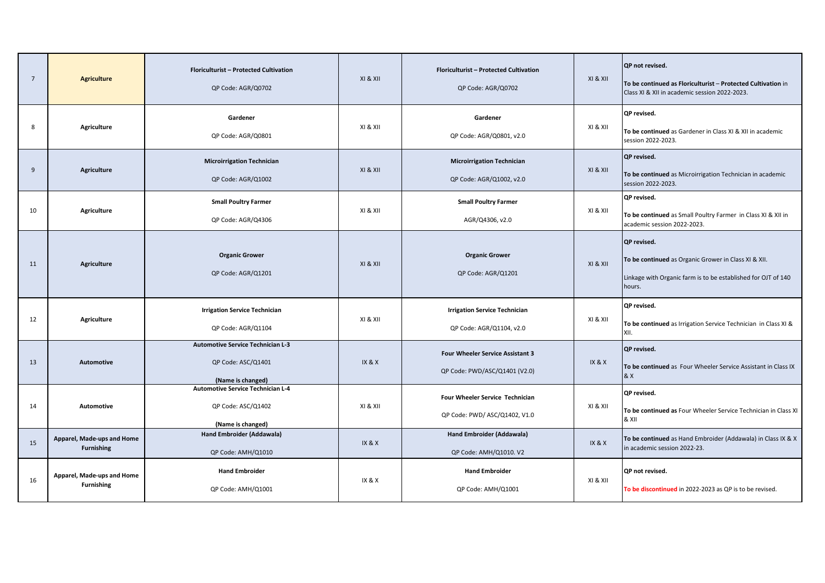| $\overline{7}$ | <b>Agriculture</b>                              | Floriculturist - Protected Cultivation<br>QP Code: AGR/Q0702                        | XI & XII          | Floriculturist - Protected Cultivation<br>QP Code: AGR/Q0702             | XI & XII | QP not revised.<br>To be continued as Floriculturist - Protected Cultivation in<br>Class XI & XII in academic session 2022-2023.                      |
|----------------|-------------------------------------------------|-------------------------------------------------------------------------------------|-------------------|--------------------------------------------------------------------------|----------|-------------------------------------------------------------------------------------------------------------------------------------------------------|
| 8              | <b>Agriculture</b>                              | Gardener<br>QP Code: AGR/Q0801                                                      | XI & XII          | Gardener<br>QP Code: AGR/Q0801, v2.0                                     | XI & XII | QP revised.<br>To be continued as Gardener in Class XI & XII in academic<br>session 2022-2023.                                                        |
| 9              | <b>Agriculture</b>                              | <b>Microirrigation Technician</b><br>QP Code: AGR/Q1002                             | XI & XII          | <b>Microirrigation Technician</b><br>QP Code: AGR/Q1002, v2.0            | XI & XII | QP revised.<br>To be continued as Microirrigation Technician in academic<br>session 2022-2023.                                                        |
| 10             | <b>Agriculture</b>                              | <b>Small Poultry Farmer</b><br>QP Code: AGR/Q4306                                   | XI & XII          | <b>Small Poultry Farmer</b><br>AGR/Q4306, v2.0                           | XI & XII | QP revised.<br>To be continued as Small Poultry Farmer in Class XI & XII in<br>academic session 2022-2023.                                            |
| 11             | <b>Agriculture</b>                              | <b>Organic Grower</b><br>QP Code: AGR/Q1201                                         | XI & XII          | <b>Organic Grower</b><br>QP Code: AGR/Q1201                              | XI & XII | <b>QP</b> revised.<br>To be continued as Organic Grower in Class XI & XII.<br>Linkage with Organic farm is to be established for OJT of 140<br>hours. |
| 12             | <b>Agriculture</b>                              | <b>Irrigation Service Technician</b><br>QP Code: AGR/Q1104                          | XI & XII          | <b>Irrigation Service Technician</b><br>QP Code: AGR/Q1104, v2.0         | XI & XII | QP revised.<br>To be continued as Irrigation Service Technician in Class XI &<br>XII.                                                                 |
| 13             | Automotive                                      | <b>Automotive Service Technician L-3</b><br>QP Code: ASC/Q1401<br>(Name is changed) | IX & X            | <b>Four Wheeler Service Assistant 3</b><br>QP Code: PWD/ASC/Q1401 (V2.0) | IX & X   | QP revised.<br>To be continued as Four Wheeler Service Assistant in Class IX<br>& X                                                                   |
| 14             | Automotive                                      | <b>Automotive Service Technician L-4</b><br>QP Code: ASC/Q1402<br>(Name is changed) | XI & XII          | Four Wheeler Service Technician<br>QP Code: PWD/ ASC/Q1402, V1.0         | XI & XII | QP revised.<br>To be continued as Four Wheeler Service Technician in Class XI<br>& XII                                                                |
| 15             | Apparel, Made-ups and Home<br><b>Furnishing</b> | Hand Embroider (Addawala)<br>QP Code: AMH/Q1010                                     | IX & X            | Hand Embroider (Addawala)<br>QP Code: AMH/Q1010. V2                      | IX & X   | To be continued as Hand Embroider (Addawala) in Class IX & X<br>in academic session 2022-23.                                                          |
| 16             | Apparel, Made-ups and Home<br><b>Furnishing</b> | <b>Hand Embroider</b><br>QP Code: AMH/Q1001                                         | <b>IX &amp; X</b> | <b>Hand Embroider</b><br>QP Code: AMH/Q1001                              | XI & XII | QP not revised.<br>To be discontinued in 2022-2023 as QP is to be revised.                                                                            |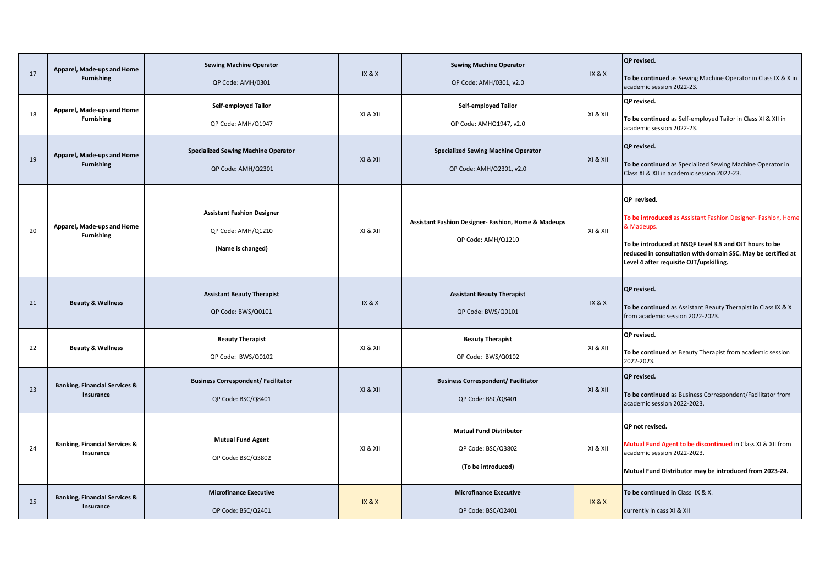| 17 | Apparel, Made-ups and Home<br><b>Furnishing</b>       | <b>Sewing Machine Operator</b><br>QP Code: AMH/0301                          | IX & X   | <b>Sewing Machine Operator</b><br>QP Code: AMH/0301, v2.0                            | IX & X   | QP revised.<br>To be continued as Sewing Machine Operator in Class IX & X in<br>academic session 2022-23.                                                                                                                                                       |
|----|-------------------------------------------------------|------------------------------------------------------------------------------|----------|--------------------------------------------------------------------------------------|----------|-----------------------------------------------------------------------------------------------------------------------------------------------------------------------------------------------------------------------------------------------------------------|
| 18 | Apparel, Made-ups and Home<br><b>Furnishing</b>       | Self-employed Tailor<br>QP Code: AMH/Q1947                                   | XI & XII | Self-employed Tailor<br>QP Code: AMHQ1947, v2.0                                      | XI & XII | QP revised.<br>To be continued as Self-employed Tailor in Class XI & XII in<br>academic session 2022-23.                                                                                                                                                        |
| 19 | Apparel, Made-ups and Home<br><b>Furnishing</b>       | <b>Specialized Sewing Machine Operator</b><br>QP Code: AMH/Q2301             | XI & XII | <b>Specialized Sewing Machine Operator</b><br>QP Code: AMH/Q2301, v2.0               | XI & XII | QP revised.<br>To be continued as Specialized Sewing Machine Operator in<br>Class XI & XII in academic session 2022-23.                                                                                                                                         |
| 20 | Apparel, Made-ups and Home<br><b>Furnishing</b>       | <b>Assistant Fashion Designer</b><br>QP Code: AMH/Q1210<br>(Name is changed) | XI & XII | <b>Assistant Fashion Designer- Fashion, Home &amp; Madeups</b><br>QP Code: AMH/Q1210 | XI & XII | QP revised.<br>To be introduced as Assistant Fashion Designer- Fashion, Home<br>& Madeups.<br>To be introduced at NSQF Level 3.5 and OJT hours to be<br>reduced in consultation with domain SSC. May be certified at<br>Level 4 after requisite OJT/upskilling. |
| 21 | <b>Beauty &amp; Wellness</b>                          | <b>Assistant Beauty Therapist</b><br>QP Code: BWS/Q0101                      | IX & X   | <b>Assistant Beauty Therapist</b><br>QP Code: BWS/Q0101                              | IX & X   | QP revised.<br>To be continued as Assistant Beauty Therapist in Class IX & X<br>from academic session 2022-2023.                                                                                                                                                |
| 22 | <b>Beauty &amp; Wellness</b>                          | <b>Beauty Therapist</b><br>QP Code: BWS/Q0102                                | XI & XII | <b>Beauty Therapist</b><br>QP Code: BWS/Q0102                                        | XI & XII | QP revised.<br>To be continued as Beauty Therapist from academic session<br>2022-2023.                                                                                                                                                                          |
| 23 | <b>Banking, Financial Services &amp;</b><br>Insurance | <b>Business Correspondent/ Facilitator</b><br>QP Code: BSC/Q8401             | XI & XII | <b>Business Correspondent/ Facilitator</b><br>QP Code: BSC/Q8401                     | XI & XII | QP revised.<br>To be continued as Business Correspondent/Facilitator from<br>academic session 2022-2023.                                                                                                                                                        |
| 24 | <b>Banking, Financial Services &amp;</b><br>Insurance | <b>Mutual Fund Agent</b><br>QP Code: BSC/Q3802                               | XI & XII | <b>Mutual Fund Distributor</b><br>QP Code: BSC/Q3802<br>(To be introduced)           | XI & XII | QP not revised.<br>Mutual Fund Agent to be discontinued in Class XI & XII from<br>academic session 2022-2023.<br>Mutual Fund Distributor may be introduced from 2023-24.                                                                                        |
| 25 | <b>Banking, Financial Services &amp;</b><br>Insurance | <b>Microfinance Executive</b><br>QP Code: BSC/Q2401                          | IX & X   | <b>Microfinance Executive</b><br>QP Code: BSC/Q2401                                  | IX & X   | To be continued in Class IX & X.<br>currently in cass XI & XII                                                                                                                                                                                                  |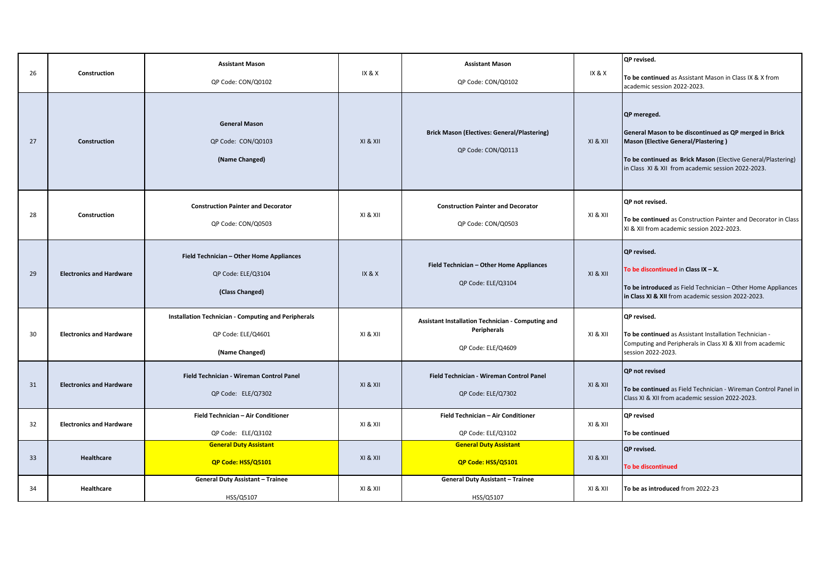| 26 | Construction                    | <b>Assistant Mason</b><br>QP Code: CON/Q0102                                                       | <b>IX &amp; X</b> | <b>Assistant Mason</b><br>QP Code: CON/Q0102                                           | IX & X   | QP revised.<br>To be continued as Assistant Mason in Class IX & X from<br>academic session 2022-2023.                                                                                                                              |
|----|---------------------------------|----------------------------------------------------------------------------------------------------|-------------------|----------------------------------------------------------------------------------------|----------|------------------------------------------------------------------------------------------------------------------------------------------------------------------------------------------------------------------------------------|
| 27 | Construction                    | <b>General Mason</b><br>QP Code: CON/Q0103<br>(Name Changed)                                       | XI & XII          | <b>Brick Mason (Electives: General/Plastering)</b><br>QP Code: CON/Q0113               | XI & XII | QP mereged.<br>General Mason to be discontinued as QP merged in Brick<br>Mason (Elective General/Plastering)<br>To be continued as Brick Mason (Elective General/Plastering)<br>in Class XI & XII from academic session 2022-2023. |
| 28 | Construction                    | <b>Construction Painter and Decorator</b><br>QP Code: CON/Q0503                                    | XI & XII          | <b>Construction Painter and Decorator</b><br>QP Code: CON/Q0503                        | XI & XII | QP not revised.<br>To be continued as Construction Painter and Decorator in Class<br>XI & XII from academic session 2022-2023.                                                                                                     |
| 29 | <b>Electronics and Hardware</b> | Field Technician - Other Home Appliances<br>QP Code: ELE/Q3104<br>(Class Changed)                  | IX & X            | Field Technician - Other Home Appliances<br>QP Code: ELE/Q3104                         | XI & XII | QP revised.<br>To be discontinued in Class IX $-$ X.<br>To be introduced as Field Technician - Other Home Appliances<br>in Class XI & XII from academic session 2022-2023.                                                         |
| 30 | <b>Electronics and Hardware</b> | <b>Installation Technician - Computing and Peripherals</b><br>QP Code: ELE/Q4601<br>(Name Changed) | XI & XII          | Assistant Installation Technician - Computing and<br>Peripherals<br>QP Code: ELE/Q4609 | XI & XII | QP revised.<br>To be continued as Assistant Installation Technician -<br>Computing and Peripherals in Class XI & XII from academic<br>session 2022-2023.                                                                           |
| 31 | <b>Electronics and Hardware</b> | Field Technician - Wireman Control Panel<br>QP Code: ELE/Q7302                                     | XI & XII          | Field Technician - Wireman Control Panel<br>QP Code: ELE/Q7302                         | XI & XII | <b>QP</b> not revised<br>To be continued as Field Technician - Wireman Control Panel in<br>Class XI & XII from academic session 2022-2023.                                                                                         |
| 32 | <b>Electronics and Hardware</b> | Field Technician - Air Conditioner<br>QP Code: ELE/Q3102                                           | XI & XII          | Field Technician - Air Conditioner<br>QP Code: ELE/Q3102                               | XI & XII | QP revised<br>To be continued                                                                                                                                                                                                      |
| 33 | <b>Healthcare</b>               | <b>General Duty Assistant</b><br>QP Code: HSS/Q5101                                                | XI & XII          | <b>General Duty Assistant</b><br>QP Code: HSS/Q5101                                    | XI & XII | QP revised.<br>To be discontinued                                                                                                                                                                                                  |
| 34 | Healthcare                      | <b>General Duty Assistant - Trainee</b><br>HSS/Q5107                                               | XI & XII          | <b>General Duty Assistant - Trainee</b><br>HSS/Q5107                                   | XI & XII | To be as introduced from 2022-23                                                                                                                                                                                                   |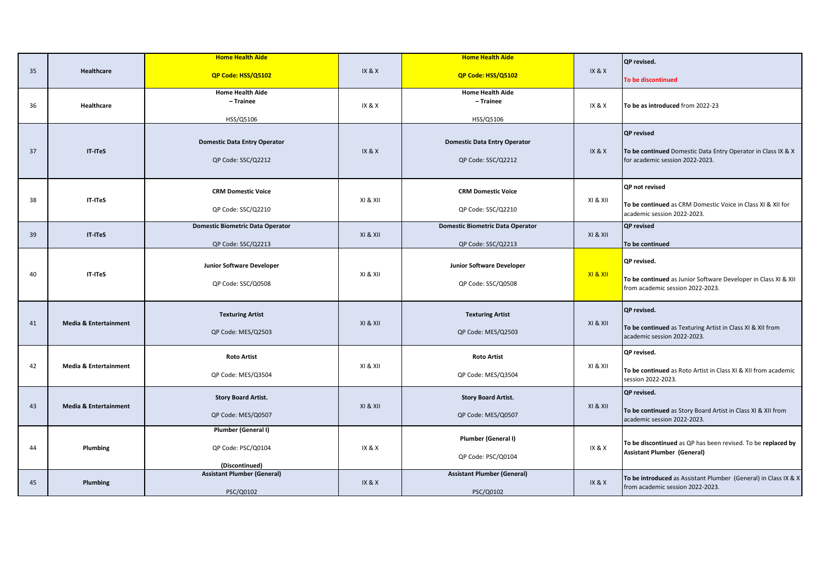|    |                                  | <b>Home Health Aide</b>                                       |          | <b>Home Health Aide</b>                                       |          | QP revised.                                                                                                          |
|----|----------------------------------|---------------------------------------------------------------|----------|---------------------------------------------------------------|----------|----------------------------------------------------------------------------------------------------------------------|
| 35 | Healthcare                       | QP Code: HSS/Q5102                                            | IX & X   | QP Code: HSS/Q5102                                            | IX&X     | To be discontinued                                                                                                   |
| 36 | Healthcare                       | <b>Home Health Aide</b><br>- Trainee<br>HSS/Q5106             | IX & X   | <b>Home Health Aide</b><br>- Trainee<br>HSS/Q5106             | IX & X   | To be as introduced from 2022-23                                                                                     |
| 37 | IT-ITeS                          | <b>Domestic Data Entry Operator</b><br>QP Code: SSC/Q2212     | IX & X   | <b>Domestic Data Entry Operator</b><br>QP Code: SSC/Q2212     | IX&X     | <b>QP</b> revised<br>To be continued Domestic Data Entry Operator in Class IX & X<br>for academic session 2022-2023. |
| 38 | IT-ITeS                          | <b>CRM Domestic Voice</b><br>QP Code: SSC/Q2210               | XI & XII | <b>CRM Domestic Voice</b><br>QP Code: SSC/Q2210               | XI & XII | QP not revised<br>To be continued as CRM Domestic Voice in Class XI & XII for<br>academic session 2022-2023.         |
| 39 | IT-ITeS                          | <b>Domestic Biometric Data Operator</b><br>QP Code: SSC/Q2213 | XI & XII | <b>Domestic Biometric Data Operator</b><br>QP Code: SSC/Q2213 | XI & XII | QP revised<br>To be continued                                                                                        |
| 40 | IT-ITeS                          | Junior Software Developer<br>QP Code: SSC/Q0508               | XI & XII | Junior Software Developer<br>QP Code: SSC/Q0508               | XI & XII | QP revised.<br>To be continued as Junior Software Developer in Class XI & XII<br>from academic session 2022-2023.    |
| 41 | <b>Media &amp; Entertainment</b> | <b>Texturing Artist</b><br>QP Code: MES/Q2503                 | XI & XII | <b>Texturing Artist</b><br>QP Code: MES/Q2503                 | XI & XII | QP revised.<br>To be continued as Texturing Artist in Class XI & XII from<br>academic session 2022-2023.             |
| 42 | <b>Media &amp; Entertainment</b> | <b>Roto Artist</b><br>QP Code: MES/Q3504                      | XI & XII | <b>Roto Artist</b><br>QP Code: MES/Q3504                      | XI & XII | QP revised.<br>To be continued as Roto Artist in Class XI & XII from academic<br>session 2022-2023.                  |
| 43 | <b>Media &amp; Entertainment</b> | <b>Story Board Artist.</b><br>QP Code: MES/Q0507              | XI & XII | <b>Story Board Artist.</b><br>QP Code: MES/Q0507              | XI & XII | QP revised.<br>To be continued as Story Board Artist in Class XI & XII from<br>academic session 2022-2023.           |
| 44 | Plumbing                         | Plumber (General I)<br>QP Code: PSC/Q0104<br>(Discontinued)   | IX & X   | Plumber (General I)<br>QP Code: PSC/Q0104                     | IX & X   | To be discontinued as QP has been revised. To be replaced by<br><b>Assistant Plumber (General)</b>                   |
| 45 | Plumbing                         | <b>Assistant Plumber (General)</b><br>PSC/Q0102               | IX&X     | <b>Assistant Plumber (General)</b><br>PSC/Q0102               | IX&X     | To be introduced as Assistant Plumber (General) in Class IX & X<br>from academic session 2022-2023.                  |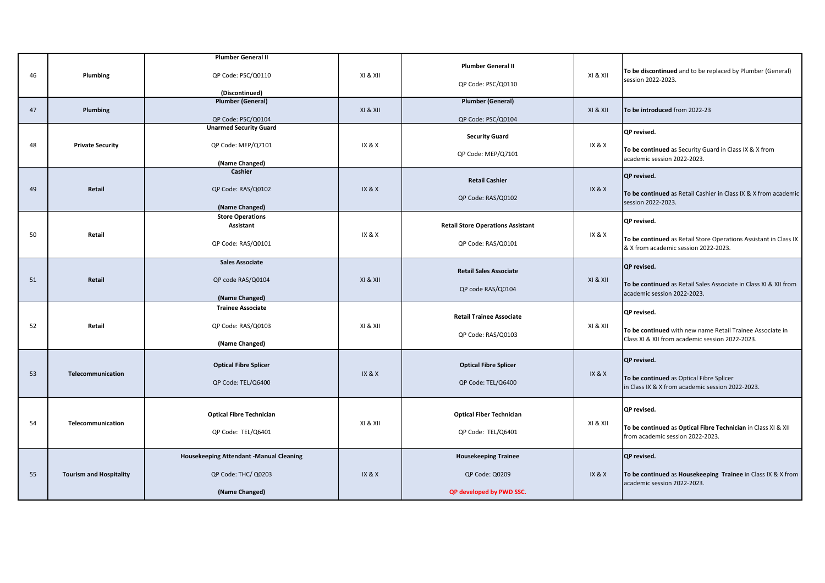|    |                                | <b>Plumber General II</b>                           |          |                                          |                                 |                                                                                                              |  |
|----|--------------------------------|-----------------------------------------------------|----------|------------------------------------------|---------------------------------|--------------------------------------------------------------------------------------------------------------|--|
| 46 | Plumbing                       | QP Code: PSC/Q0110                                  | XI & XII | <b>Plumber General II</b>                | XI & XII                        | To be discontinued and to be replaced by Plumber (General)                                                   |  |
|    |                                |                                                     |          | QP Code: PSC/Q0110                       |                                 | session 2022-2023.                                                                                           |  |
|    |                                | (Discontinued)<br><b>Plumber (General)</b>          |          | <b>Plumber (General)</b>                 |                                 |                                                                                                              |  |
| 47 | Plumbing                       |                                                     | XI & XII |                                          | XI & XII                        | To be introduced from 2022-23                                                                                |  |
|    |                                | QP Code: PSC/Q0104<br><b>Unarmed Security Guard</b> |          | QP Code: PSC/Q0104                       |                                 |                                                                                                              |  |
|    |                                |                                                     |          | <b>Security Guard</b>                    |                                 | QP revised.                                                                                                  |  |
| 48 | <b>Private Security</b>        | QP Code: MEP/Q7101                                  | IX & X   |                                          | IX & X                          | To be continued as Security Guard in Class IX & X from                                                       |  |
|    |                                | (Name Changed)                                      |          | QP Code: MEP/Q7101                       |                                 | academic session 2022-2023.                                                                                  |  |
|    |                                | Cashier                                             |          |                                          |                                 | QP revised.                                                                                                  |  |
| 49 | Retail                         | QP Code: RAS/Q0102                                  | IX & X   | <b>Retail Cashier</b>                    | IX & X                          |                                                                                                              |  |
|    |                                |                                                     |          | QP Code: RAS/Q0102                       |                                 | To be continued as Retail Cashier in Class IX & X from academic<br>session 2022-2023.                        |  |
|    |                                | (Name Changed)                                      |          |                                          |                                 |                                                                                                              |  |
|    |                                | <b>Store Operations</b><br><b>Assistant</b>         |          | <b>Retail Store Operations Assistant</b> |                                 | QP revised.                                                                                                  |  |
| 50 | Retail                         |                                                     | IX & X   |                                          | IX & X                          | To be continued as Retail Store Operations Assistant in Class IX                                             |  |
|    |                                | QP Code: RAS/Q0101                                  |          | QP Code: RAS/Q0101                       |                                 | & X from academic session 2022-2023.                                                                         |  |
|    |                                | <b>Sales Associate</b>                              |          |                                          |                                 |                                                                                                              |  |
|    |                                |                                                     |          | <b>Retail Sales Associate</b>            |                                 | QP revised.                                                                                                  |  |
| 51 | Retail                         | QP code RAS/Q0104                                   | XI & XII | QP code RAS/Q0104                        | XI & XII                        | To be continued as Retail Sales Associate in Class XI & XII from                                             |  |
|    |                                | (Name Changed)                                      |          |                                          |                                 | academic session 2022-2023.                                                                                  |  |
|    |                                | <b>Trainee Associate</b>                            |          |                                          |                                 | QP revised.                                                                                                  |  |
| 52 | Retail                         | QP Code: RAS/Q0103                                  | XI & XII |                                          | <b>Retail Trainee Associate</b> | XI & XII                                                                                                     |  |
|    |                                |                                                     |          | QP Code: RAS/Q0103                       |                                 | To be continued with new name Retail Trainee Associate in<br>Class XI & XII from academic session 2022-2023. |  |
|    |                                | (Name Changed)                                      |          |                                          |                                 |                                                                                                              |  |
|    |                                | <b>Optical Fibre Splicer</b>                        |          | <b>Optical Fibre Splicer</b>             |                                 | QP revised.                                                                                                  |  |
| 53 | Telecommunication              |                                                     | IX & X   |                                          | IX & X                          | To be continued as Optical Fibre Splicer                                                                     |  |
|    |                                | QP Code: TEL/Q6400                                  |          | QP Code: TEL/Q6400                       |                                 | in Class IX & X from academic session 2022-2023.                                                             |  |
|    |                                |                                                     |          |                                          |                                 |                                                                                                              |  |
|    |                                | <b>Optical Fibre Technician</b>                     |          | <b>Optical Fiber Technician</b>          |                                 | QP revised.                                                                                                  |  |
| 54 | Telecommunication              |                                                     | XI & XII |                                          | XI & XII                        | To be continued as Optical Fibre Technician in Class XI & XII                                                |  |
|    |                                | QP Code: TEL/Q6401                                  |          | QP Code: TEL/Q6401                       |                                 | from academic session 2022-2023.                                                                             |  |
|    |                                | Housekeeping Attendant -Manual Cleaning             |          | <b>Housekeeping Trainee</b>              |                                 | QP revised.                                                                                                  |  |
| 55 | <b>Tourism and Hospitality</b> | QP Code: THC/ Q0203                                 | IX & X   | QP Code: Q0209                           | IX & X                          | To be continued as Housekeeping Trainee in Class IX & X from                                                 |  |
|    |                                |                                                     |          |                                          |                                 | academic session 2022-2023.                                                                                  |  |
|    |                                | (Name Changed)                                      |          | QP developed by PWD SSC.                 |                                 |                                                                                                              |  |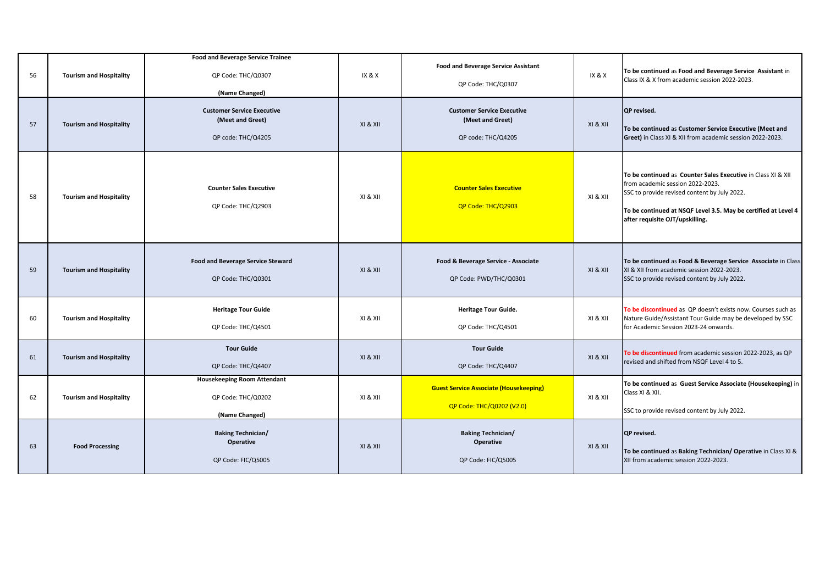| 56<br>57 | <b>Tourism and Hospitality</b><br><b>Tourism and Hospitality</b> | <b>Food and Beverage Service Trainee</b><br>QP Code: THC/Q0307<br>(Name Changed)<br><b>Customer Service Executive</b><br>(Meet and Greet)<br>QP code: THC/Q4205 | IX & X<br>XI & XII | <b>Food and Beverage Service Assistant</b><br>QP Code: THC/Q0307<br><b>Customer Service Executive</b><br>(Meet and Greet)<br>QP code: THC/Q4205 | <b>IX &amp; X</b><br>XI & XII | To be continued as Food and Beverage Service Assistant in<br>Class IX & X from academic session 2022-2023.<br><b>QP</b> revised.<br>To be continued as Customer Service Executive (Meet and<br>Greet) in Class XI & XII from academic session 2022-2023. |
|----------|------------------------------------------------------------------|-----------------------------------------------------------------------------------------------------------------------------------------------------------------|--------------------|-------------------------------------------------------------------------------------------------------------------------------------------------|-------------------------------|----------------------------------------------------------------------------------------------------------------------------------------------------------------------------------------------------------------------------------------------------------|
| 58       | <b>Tourism and Hospitality</b>                                   | <b>Counter Sales Executive</b><br>QP Code: THC/Q2903                                                                                                            | XI & XII           | <b>Counter Sales Executive</b><br>QP Code: THC/Q2903                                                                                            | XI & XII                      | To be continued as Counter Sales Executive in Class XI & XII<br>from academic session 2022-2023.<br>SSC to provide revised content by July 2022.<br>To be continued at NSQF Level 3.5. May be certified at Level 4<br>after requisite OJT/upskilling.    |
| 59       | <b>Tourism and Hospitality</b>                                   | <b>Food and Beverage Service Steward</b><br>QP Code: THC/Q0301                                                                                                  | XI & XII           | Food & Beverage Service - Associate<br>QP Code: PWD/THC/Q0301                                                                                   | X1 & X11                      | To be continued as Food & Beverage Service Associate in Class<br>XI & XII from academic session 2022-2023.<br>SSC to provide revised content by July 2022.                                                                                               |
| 60       | <b>Tourism and Hospitality</b>                                   | <b>Heritage Tour Guide</b><br>QP Code: THC/Q4501                                                                                                                | XI & XII           | <b>Heritage Tour Guide.</b><br>QP Code: THC/Q4501                                                                                               | XI & XII                      | To be discontinued as QP doesn't exists now. Courses such as<br>Nature Guide/Assistant Tour Guide may be developed by SSC<br>for Academic Session 2023-24 onwards.                                                                                       |
| 61       | <b>Tourism and Hospitality</b>                                   | <b>Tour Guide</b><br>QP Code: THC/Q4407                                                                                                                         | XI & XII           | <b>Tour Guide</b><br>QP Code: THC/Q4407                                                                                                         | XI & XII                      | To be discontinued from academic session 2022-2023, as QP<br>revised and shifted from NSQF Level 4 to 5.                                                                                                                                                 |
| 62       | <b>Tourism and Hospitality</b>                                   | <b>Housekeeping Room Attendant</b><br>QP Code: THC/Q0202<br>(Name Changed)                                                                                      | XI & XII           | <b>Guest Service Associate (Housekeeping)</b><br>QP Code: THC/Q0202 (V2.0)                                                                      | XI & XII                      | To be continued as Guest Service Associate (Housekeeping) in<br>Class XI & XII.<br>SSC to provide revised content by July 2022.                                                                                                                          |
| 63       | <b>Food Processing</b>                                           | <b>Baking Technician/</b><br><b>Operative</b><br>QP Code: FIC/Q5005                                                                                             | XI & XII           | <b>Baking Technician/</b><br><b>Operative</b><br>QP Code: FIC/Q5005                                                                             | XI & XII                      | QP revised.<br>To be continued as Baking Technician/ Operative in Class XI &<br>XII from academic session 2022-2023.                                                                                                                                     |